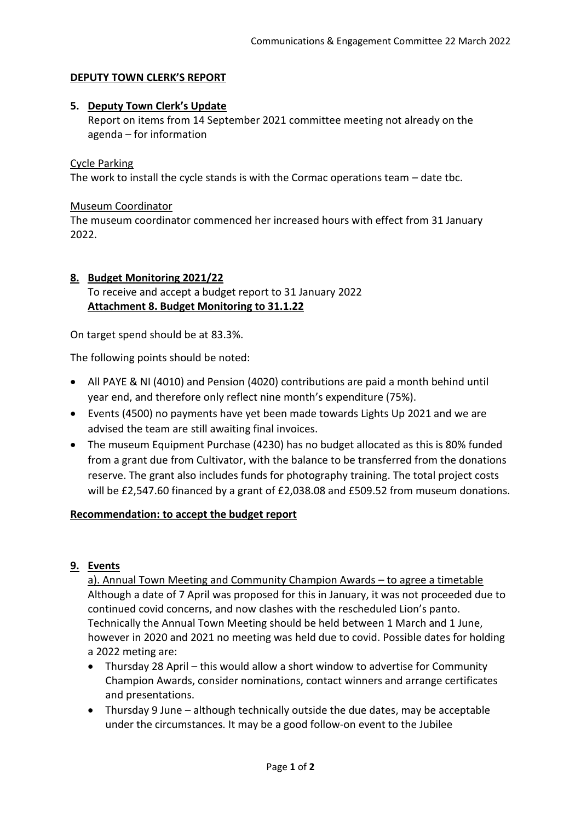### **DEPUTY TOWN CLERK'S REPORT**

### **5. Deputy Town Clerk's Update**

Report on items from 14 September 2021 committee meeting not already on the agenda – for information

### Cycle Parking

The work to install the cycle stands is with the Cormac operations team – date tbc.

### Museum Coordinator

The museum coordinator commenced her increased hours with effect from 31 January 2022.

### **8. Budget Monitoring 2021/22** To receive and accept a budget report to 31 January 2022 **Attachment 8. Budget Monitoring to 31.1.22**

On target spend should be at 83.3%.

The following points should be noted:

- All PAYE & NI (4010) and Pension (4020) contributions are paid a month behind until year end, and therefore only reflect nine month's expenditure (75%).
- Events (4500) no payments have yet been made towards Lights Up 2021 and we are advised the team are still awaiting final invoices.
- The museum Equipment Purchase (4230) has no budget allocated as this is 80% funded from a grant due from Cultivator, with the balance to be transferred from the donations reserve. The grant also includes funds for photography training. The total project costs will be £2,547.60 financed by a grant of £2,038.08 and £509.52 from museum donations.

### **Recommendation: to accept the budget report**

### **9. Events**

a). Annual Town Meeting and Community Champion Awards – to agree a timetable Although a date of 7 April was proposed for this in January, it was not proceeded due to continued covid concerns, and now clashes with the rescheduled Lion's panto. Technically the Annual Town Meeting should be held between 1 March and 1 June, however in 2020 and 2021 no meeting was held due to covid. Possible dates for holding a 2022 meting are:

- Thursday 28 April this would allow a short window to advertise for Community Champion Awards, consider nominations, contact winners and arrange certificates and presentations.
- Thursday 9 June although technically outside the due dates, may be acceptable under the circumstances. It may be a good follow-on event to the Jubilee